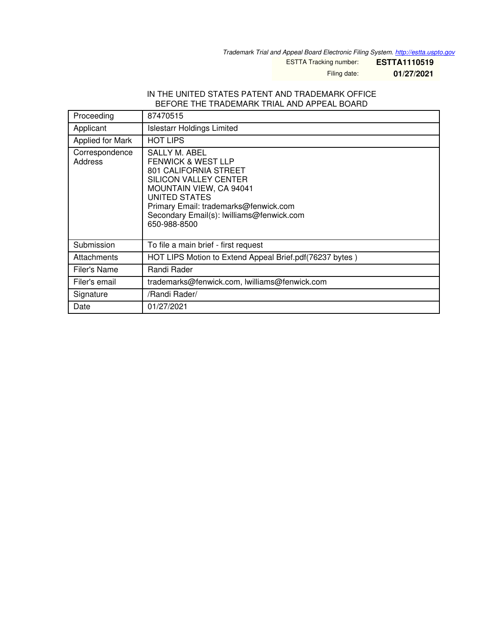*Trademark Trial and Appeal Board Electronic Filing System. <http://estta.uspto.gov>*

ESTTA Tracking number: **ESTTA1110519**

Filing date: **01/27/2021**

### IN THE UNITED STATES PATENT AND TRADEMARK OFFICE BEFORE THE TRADEMARK TRIAL AND APPEAL BOARD

| Proceeding                | 87470515                                                                                                                                                                                                                                                         |
|---------------------------|------------------------------------------------------------------------------------------------------------------------------------------------------------------------------------------------------------------------------------------------------------------|
| Applicant                 | <b>Islestarr Holdings Limited</b>                                                                                                                                                                                                                                |
| Applied for Mark          | <b>HOT LIPS</b>                                                                                                                                                                                                                                                  |
| Correspondence<br>Address | SALLY M. ABEL<br><b>FENWICK &amp; WEST LLP</b><br>801 CALIFORNIA STREET<br><b>SILICON VALLEY CENTER</b><br><b>MOUNTAIN VIEW, CA 94041</b><br>UNITED STATES<br>Primary Email: trademarks@fenwick.com<br>Secondary Email(s): lwilliams@fenwick.com<br>650-988-8500 |
| Submission                | To file a main brief - first request                                                                                                                                                                                                                             |
| Attachments               | HOT LIPS Motion to Extend Appeal Brief.pdf(76237 bytes)                                                                                                                                                                                                          |
| <b>Filer's Name</b>       | Randi Rader                                                                                                                                                                                                                                                      |
| Filer's email             | trademarks@fenwick.com, lwilliams@fenwick.com                                                                                                                                                                                                                    |
| Signature                 | /Randi Rader/                                                                                                                                                                                                                                                    |
| Date                      | 01/27/2021                                                                                                                                                                                                                                                       |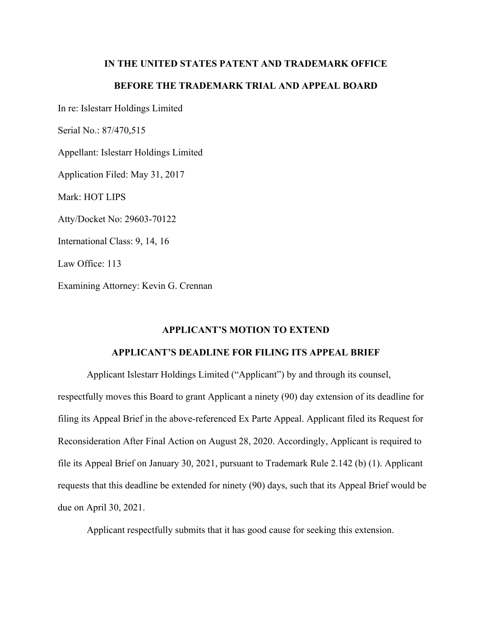## **IN THE UNITED STATES PATENT AND TRADEMARK OFFICE**

# **BEFORE THE TRADEMARK TRIAL AND APPEAL BOARD**

In re: Islestarr Holdings Limited

Serial No.: 87/470,515

Appellant: Islestarr Holdings Limited

Application Filed: May 31, 2017

Mark: HOT LIPS

Atty/Docket No: 29603-70122

International Class: 9, 14, 16

Law Office: 113

Examining Attorney: Kevin G. Crennan

## **APPLICANT'S MOTION TO EXTEND**

### **APPLICANT'S DEADLINE FOR FILING ITS APPEAL BRIEF**

Applicant Islestarr Holdings Limited ("Applicant") by and through its counsel, respectfully moves this Board to grant Applicant a ninety (90) day extension of its deadline for filing its Appeal Brief in the above-referenced Ex Parte Appeal. Applicant filed its Request for Reconsideration After Final Action on August 28, 2020. Accordingly, Applicant is required to file its Appeal Brief on January 30, 2021, pursuant to Trademark Rule 2.142 (b) (1). Applicant requests that this deadline be extended for ninety (90) days, such that its Appeal Brief would be due on April 30, 2021.

Applicant respectfully submits that it has good cause for seeking this extension.